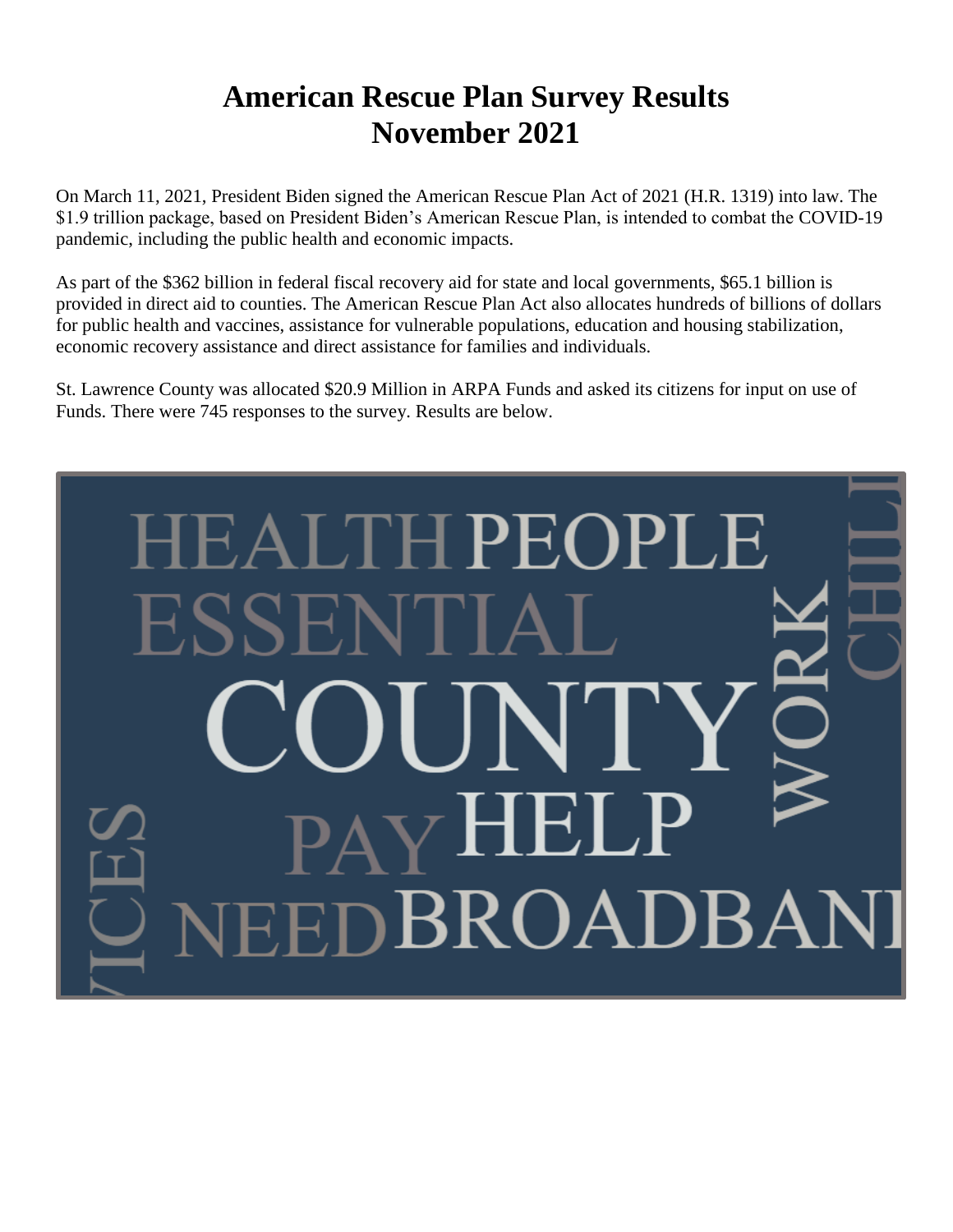# **American Rescue Plan Survey Results November 2021**

On March 11, 2021, President Biden signed the American Rescue Plan Act of 2021 (H.R. 1319) into law. The \$1.9 trillion package, based on President Biden's American Rescue Plan, is intended to combat the COVID-19 pandemic, including the public health and economic impacts.

As part of the \$362 billion in federal fiscal recovery aid for state and local governments, \$65.1 billion is provided in direct aid to counties. The American Rescue Plan Act also allocates hundreds of billions of dollars for public health and vaccines, assistance for vulnerable populations, education and housing stabilization, economic recovery assistance and direct assistance for families and individuals.

St. Lawrence County was allocated \$20.9 Million in ARPA Funds and asked its citizens for input on use of Funds. There were 745 responses to the survey. Results are below.

# **HPEOPLE BROADBA**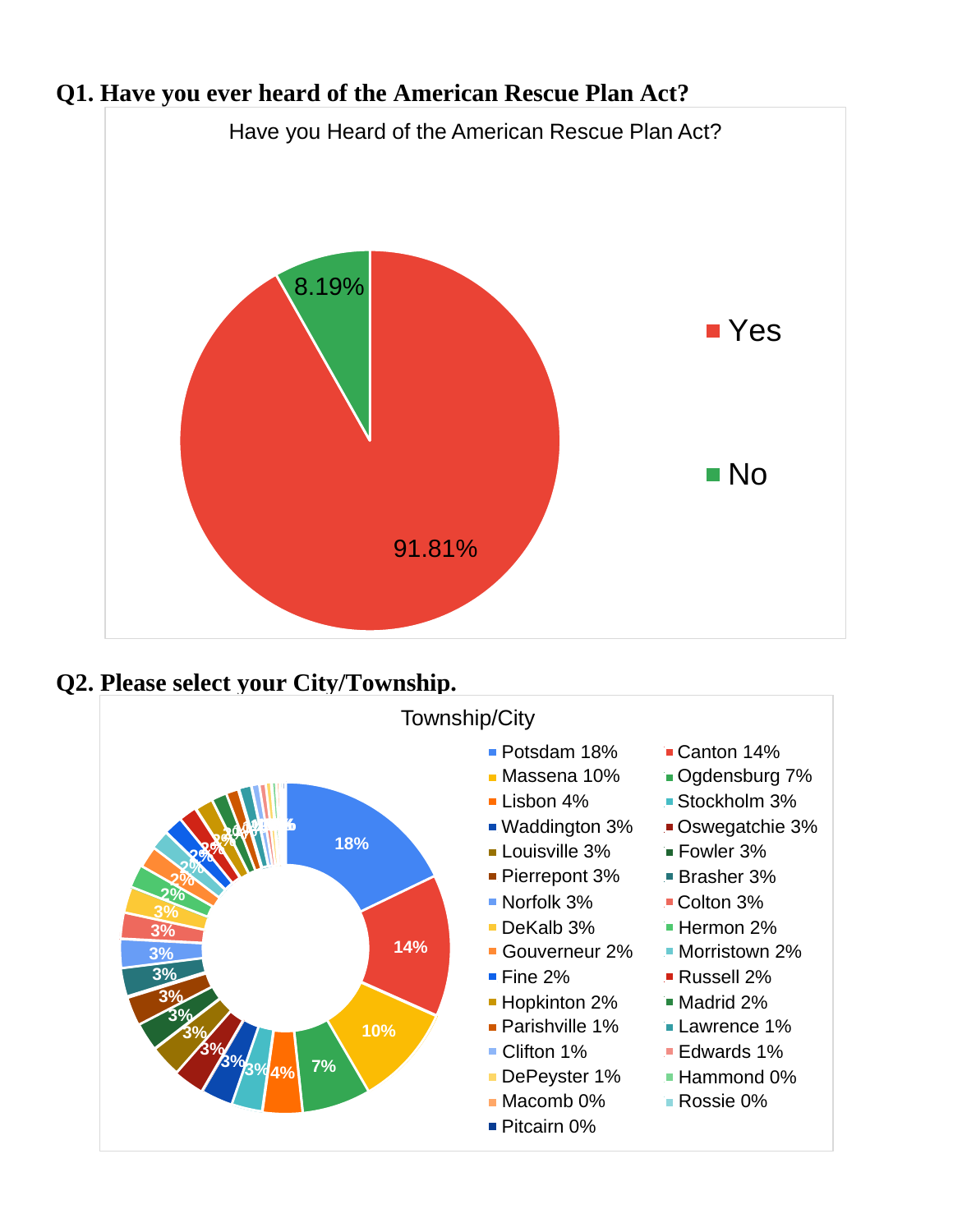

# **Q1. Have you ever heard of the American Rescue Plan Act?**

**Q2. Please select your City/Township.**

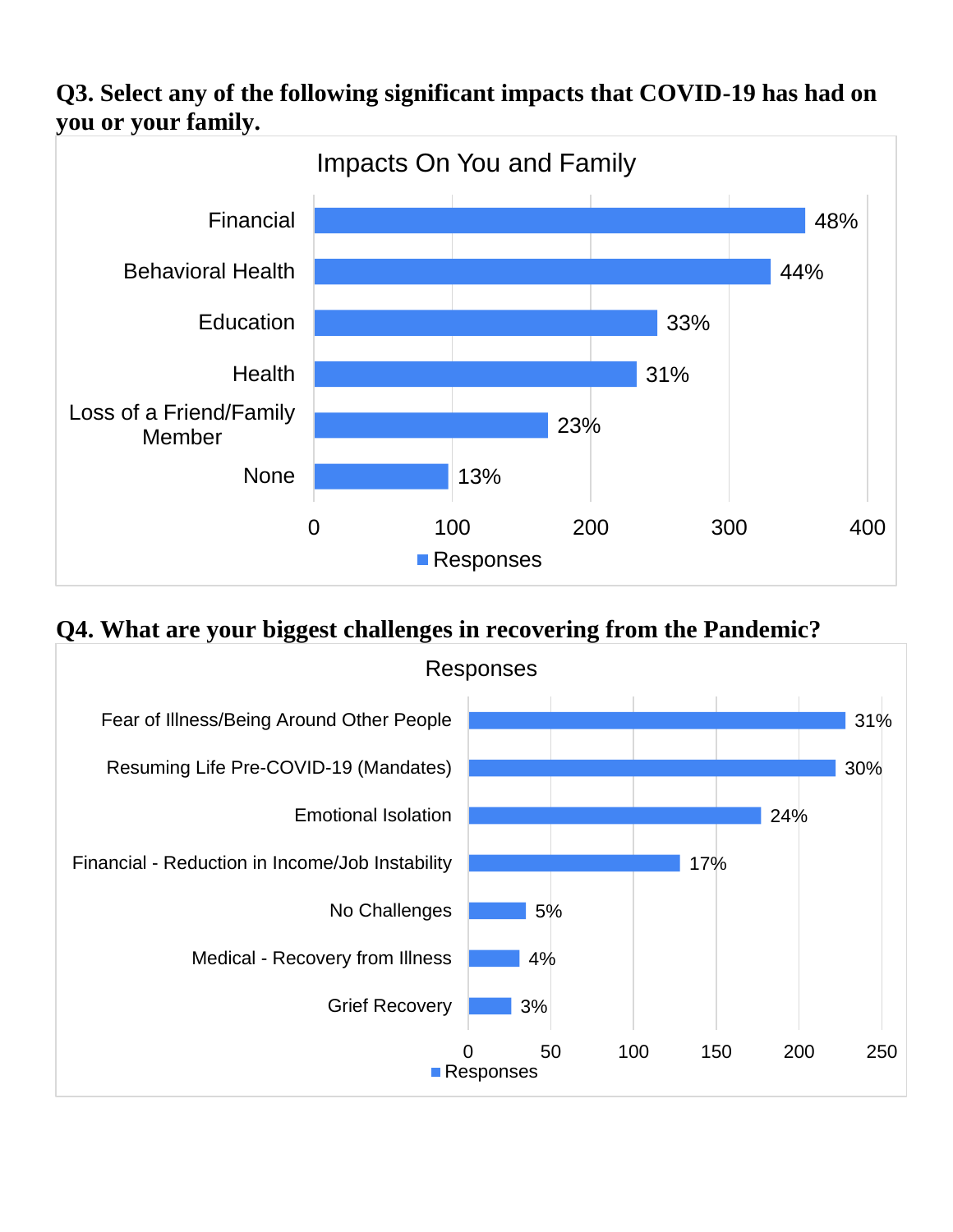## **Q3. Select any of the following significant impacts that COVID-19 has had on you or your family.**



#### **Q4. What are your biggest challenges in recovering from the Pandemic?**

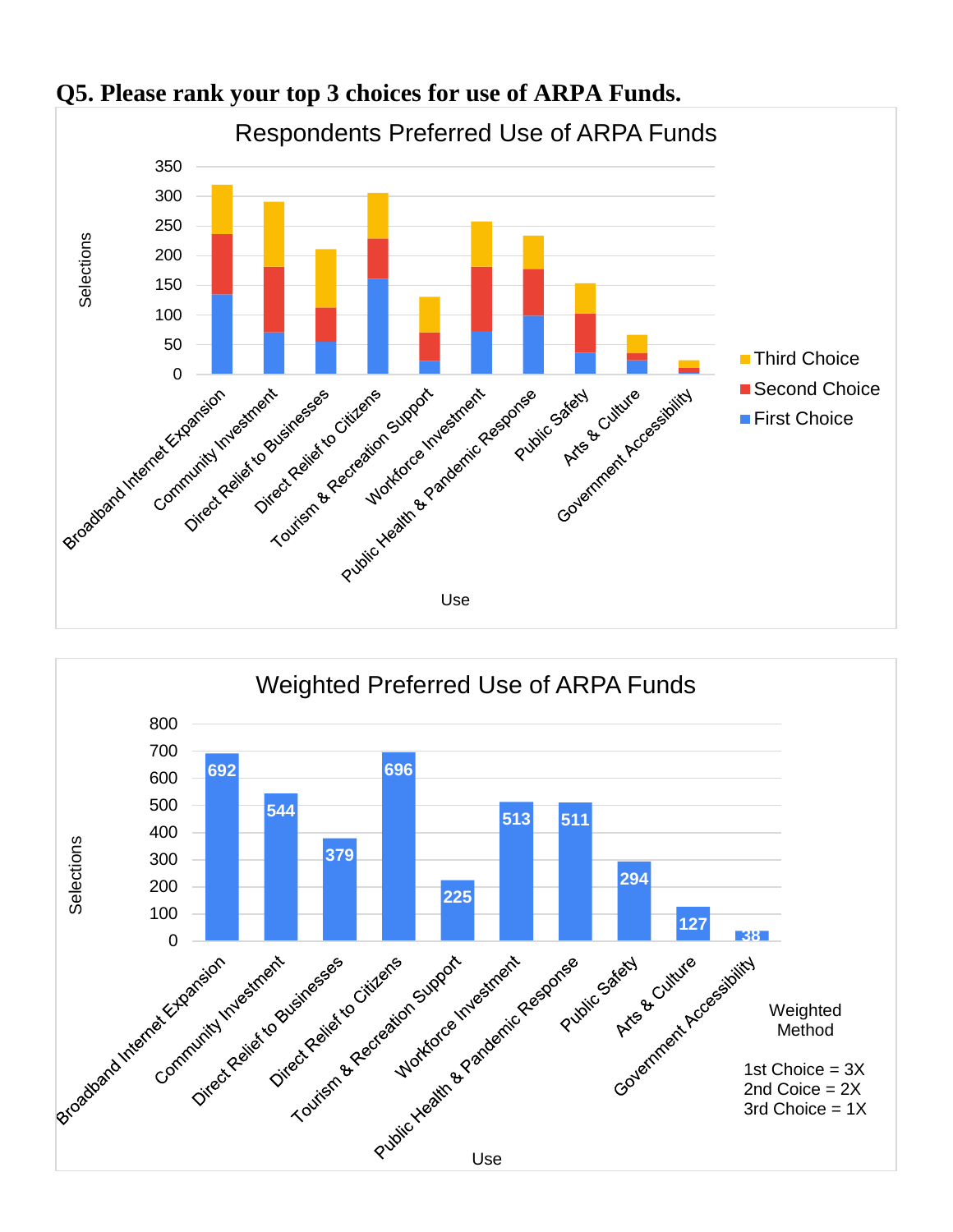

#### **Q5. Please rank your top 3 choices for use of ARPA Funds.**

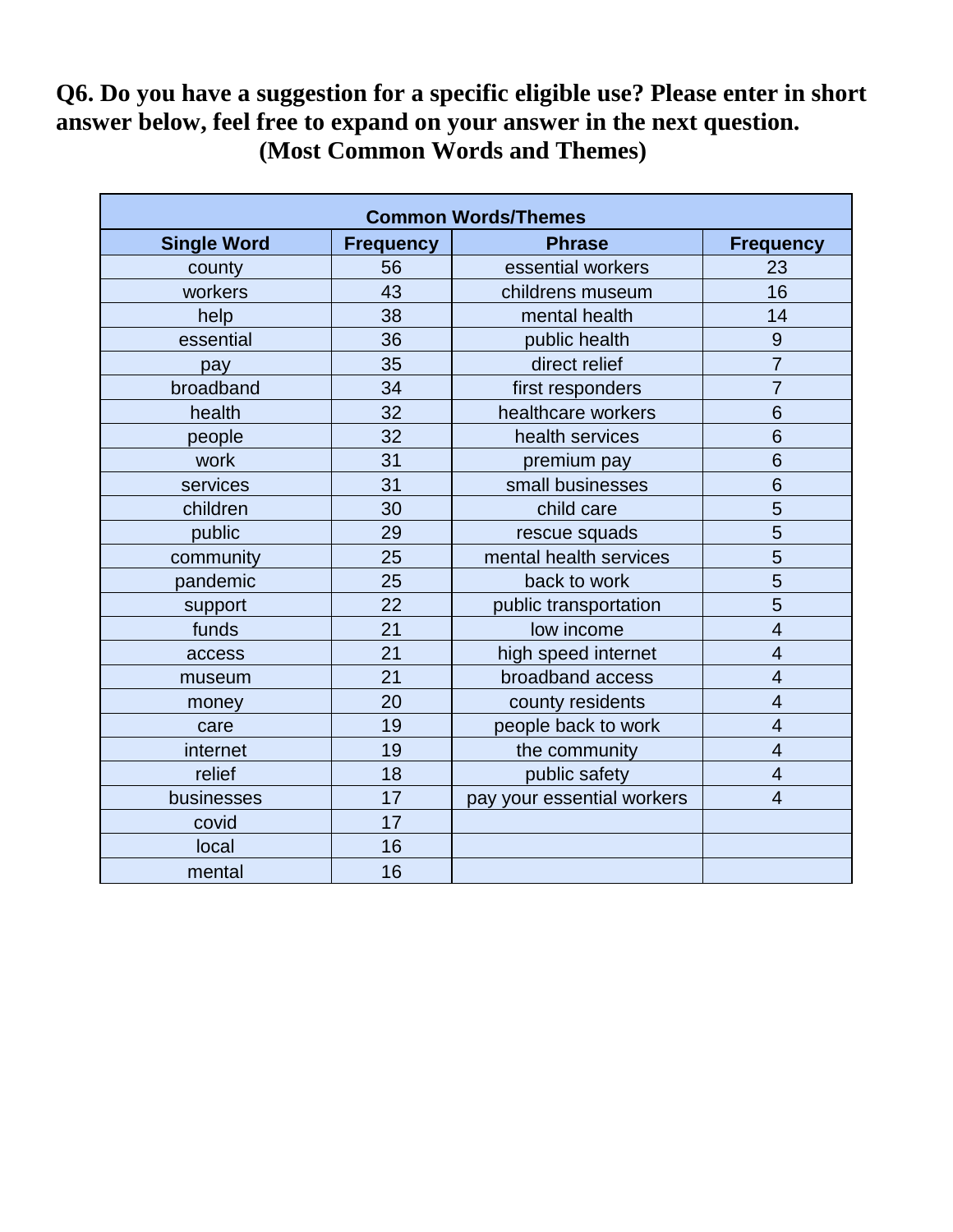## **Q6. Do you have a suggestion for a specific eligible use? Please enter in short answer below, feel free to expand on your answer in the next question. (Most Common Words and Themes)**

| <b>Common Words/Themes</b> |                  |                            |                  |  |
|----------------------------|------------------|----------------------------|------------------|--|
| <b>Single Word</b>         | <b>Frequency</b> | <b>Phrase</b>              | <b>Frequency</b> |  |
| county                     | 56               | essential workers          | 23               |  |
| workers                    | 43               | childrens museum           | 16               |  |
| help                       | 38               | mental health              | 14               |  |
| essential                  | 36               | public health              | 9                |  |
| pay                        | 35               | direct relief              | $\overline{7}$   |  |
| broadband                  | 34               | first responders           | $\overline{7}$   |  |
| health                     | 32               | healthcare workers         | 6                |  |
| people                     | 32               | health services            | 6                |  |
| work                       | 31               | premium pay                | 6                |  |
| services                   | 31               | small businesses           | 6                |  |
| children                   | 30               | child care                 | 5                |  |
| public                     | 29               | rescue squads              | 5                |  |
| community                  | 25               | mental health services     | 5                |  |
| pandemic                   | 25               | back to work               | 5                |  |
| support                    | 22               | public transportation      | 5                |  |
| funds                      | 21               | low income                 | $\overline{4}$   |  |
| access                     | 21               | high speed internet        | $\overline{4}$   |  |
| museum                     | 21               | broadband access           | $\overline{4}$   |  |
| money                      | 20               | county residents           | 4                |  |
| care                       | 19               | people back to work        | $\overline{4}$   |  |
| internet                   | 19               | the community              | $\overline{4}$   |  |
| relief                     | 18               | public safety              | $\overline{4}$   |  |
| businesses                 | 17               | pay your essential workers | $\overline{4}$   |  |
| covid                      | 17               |                            |                  |  |
| local                      | 16               |                            |                  |  |
| mental                     | 16               |                            |                  |  |